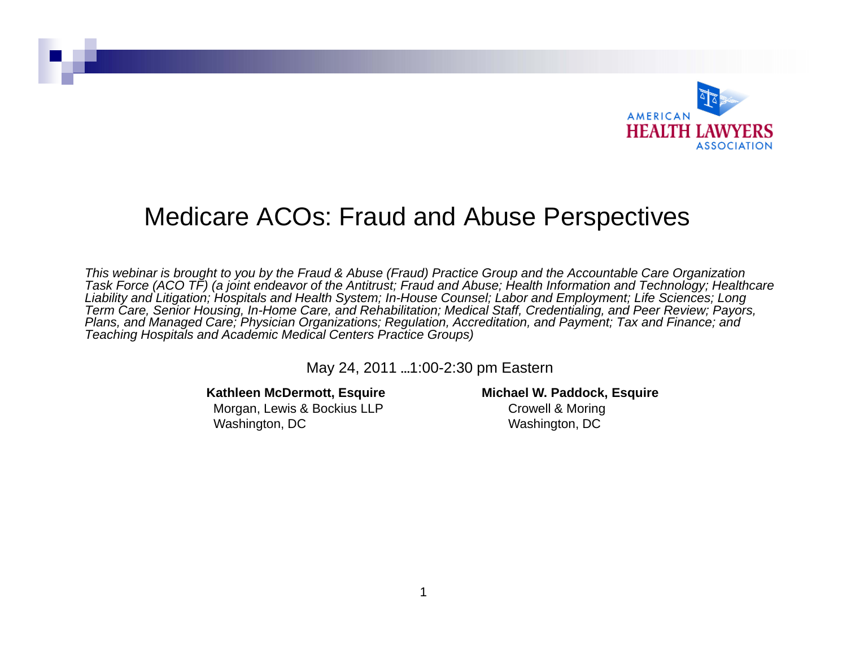

#### Medicare ACOs: Fraud and Abuse Perspectives

*This webinar is brought to you by the Fraud & Abuse (Fraud) Practice Group and the Accountable Care Organization Task Force (ACO TF) (a joint endeavor of the Antitrust; Fraud and Abuse; Health Information and Technology; Healthcare Liability and Litigation; Hospitals and Health System; In-House Counsel; Labor and Employment; Life Sciences; Long Term Care, Senior Housing, In-Home Care, and Rehabilitation; Medical Staff, Credentialing, and Peer Review; Payors, Plans, and Managed Care; Physician Organizations; Regulation, Accreditation, and Payment; Tax and Finance; and Teaching Hospitals and Academic Medical Centers Practice Groups)*

May 24, 2011 ...1:00-2:30 pm Eastern

#### **Kathleen McDermott, Esquire**

Morgan, Lewis & Bockius LLP Washington, DC

**Michael W. Paddock, Esquire** Crowell & Moring Washington, DC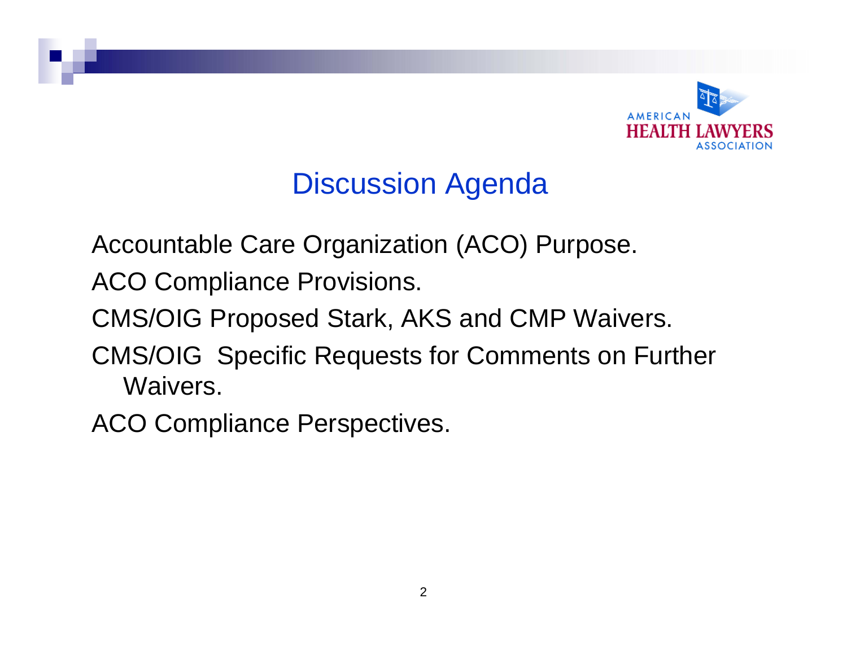

## Discussion Agenda

Accountable Care Organization (ACO) Purpose.

ACO Compliance Provisions.

CMS/OIG Proposed Stark, AKS and CMP Waivers.

CMS/OIG Specific Requests for Comments on Further Waivers.

ACO Compliance Perspectives.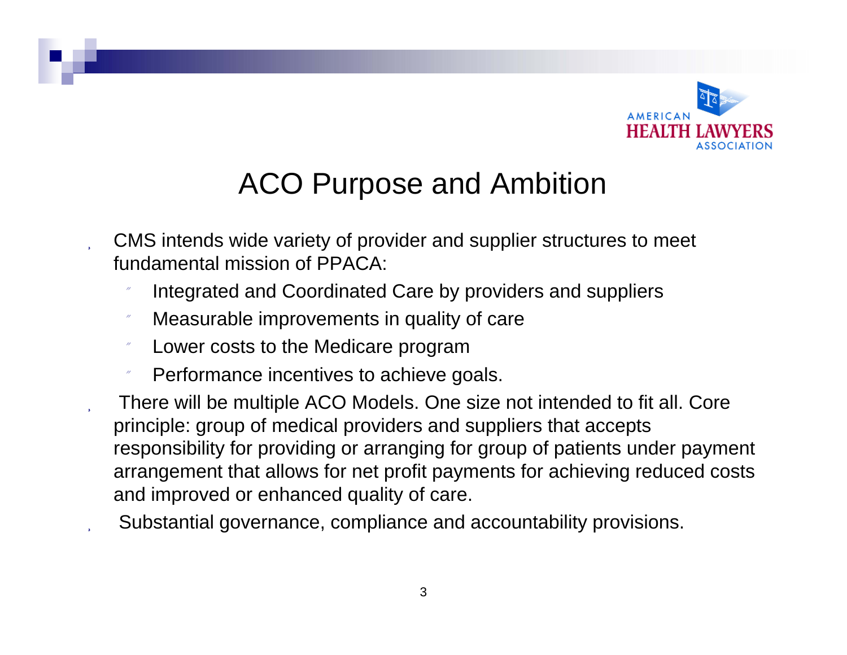

# ACO Purpose and Ambition

- CMS intends wide variety of provider and supplier structures to meet fundamental mission of PPACA:
	- Integrated and Coordinated Care by providers and suppliers
	- Measurable improvements in quality of care
	- Lower costs to the Medicare program
	- Performance incentives to achieve goals.
	- There will be multiple ACO Models. One size not intended to fit all. Core principle: group of medical providers and suppliers that accepts responsibility for providing or arranging for group of patients under payment arrangement that allows for net profit payments for achieving reduced costs and improved or enhanced quality of care.
- Substantial governance, compliance and accountability provisions.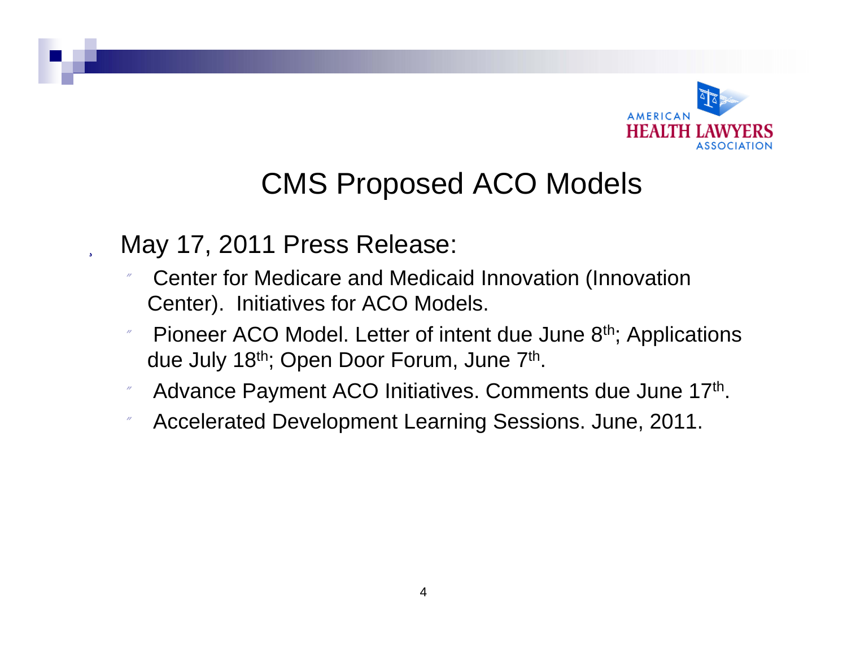

## CMS Proposed ACO Models

#### May 17, 2011 Press Release:

- Center for Medicare and Medicaid Innovation (Innovation Center). Initiatives for ACO Models.
- Pioneer ACO Model. Letter of intent due June 8<sup>th</sup>; Applications due July 18<sup>th</sup>; Open Door Forum, June 7<sup>th</sup>.
- n Advance Payment ACO Initiatives. Comments due June 17<sup>th</sup>.
- Accelerated Development Learning Sessions. June, 2011.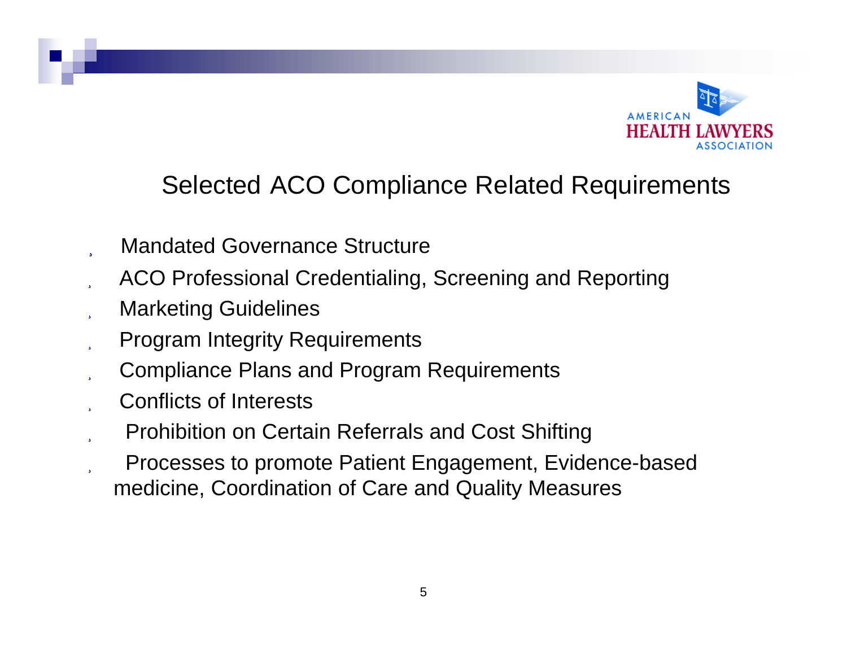

#### Selected ACO Compliance Related Requirements

- Mandated Governance Structure
- ACO Professional Credentialing, Screening and Reporting
- Marketing Guidelines
- Program Integrity Requirements
- Compliance Plans and Program Requirements
- Conflicts of Interests
- Prohibition on Certain Referrals and Cost Shifting
- Processes to promote Patient Engagement, Evidence-based medicine, Coordination of Care and Quality Measures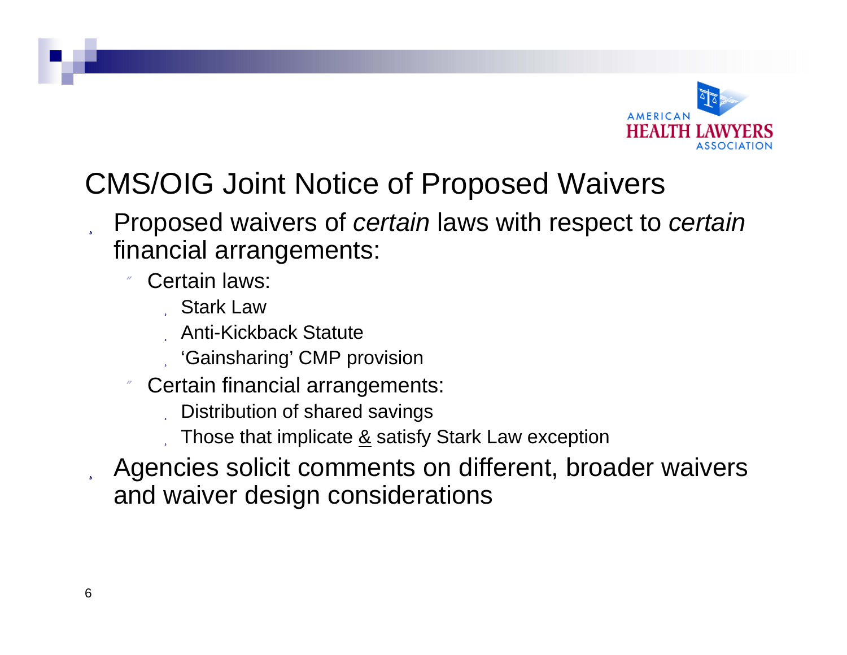

# CMS/OIG Joint Notice of Proposed Waivers

#### Proposed waivers of *certain* laws with respect to *certain* financial arrangements:

- 11 Certain laws:
	- Stark Law
	- Anti-Kickback Statute
	- 'Gainsharing' CMP provision
- n Certain financial arrangements:
	- Distribution of shared savings
	- Those that implicate  $\underline{8}$  satisfy Stark Law exception
- Agencies solicit comments on different, broader waivers and waiver design considerations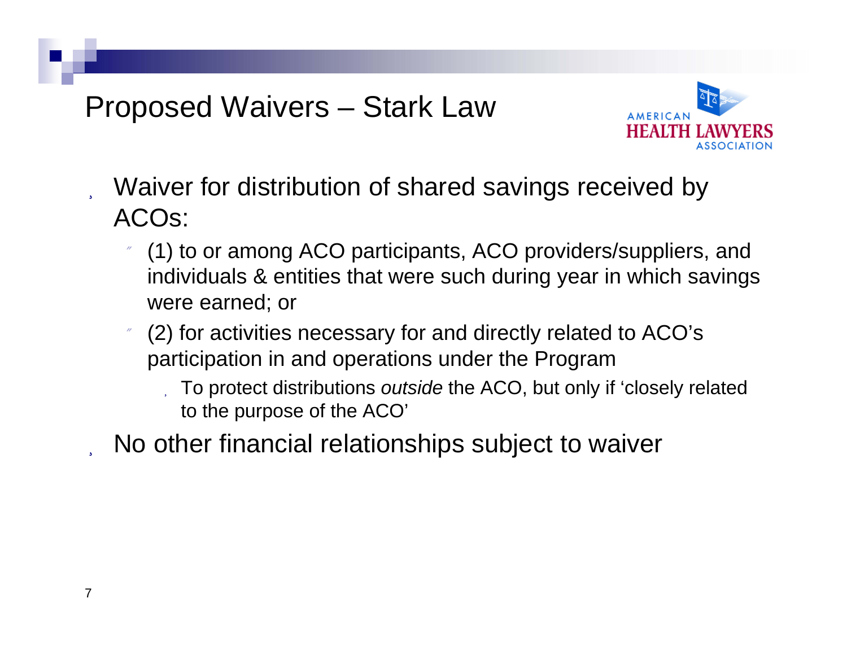#### Proposed Waivers – Stark Law



- Waiver for distribution of shared savings received by ACOs:
	- (1) to or among ACO participants, ACO providers/suppliers, and individuals & entities that were such during year in which savings were earned; or
	- n (2) for activities necessary for and directly related to ACO's participation in and operations under the Program
		- To protect distributions *outside* the ACO, but only if 'closely related to the purpose of the ACO'
	- No other financial relationships subject to waiver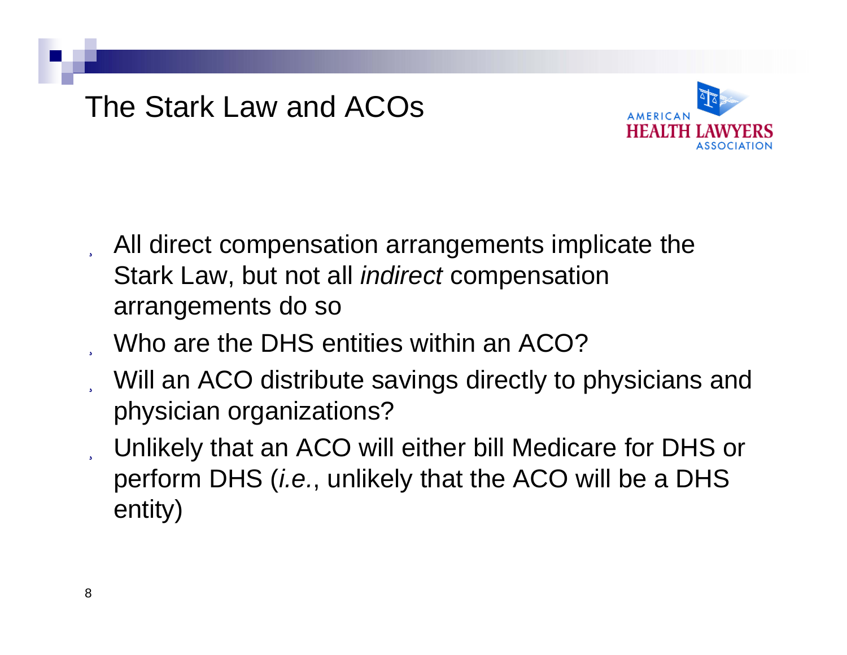

- All direct compensation arrangements implicate the Stark Law, but not all *indirect* compensation arrangements do so
- Who are the DHS entities within an ACO?
- Will an ACO distribute savings directly to physicians and physician organizations?
- Unlikely that an ACO will either bill Medicare for DHS or perform DHS (*i.e.*, unlikely that the ACO will be a DHS entity)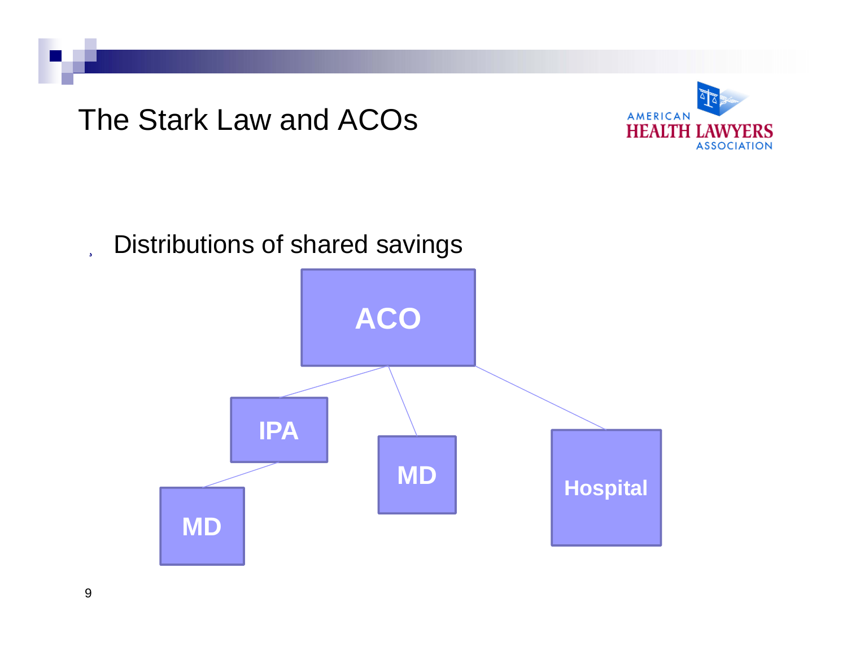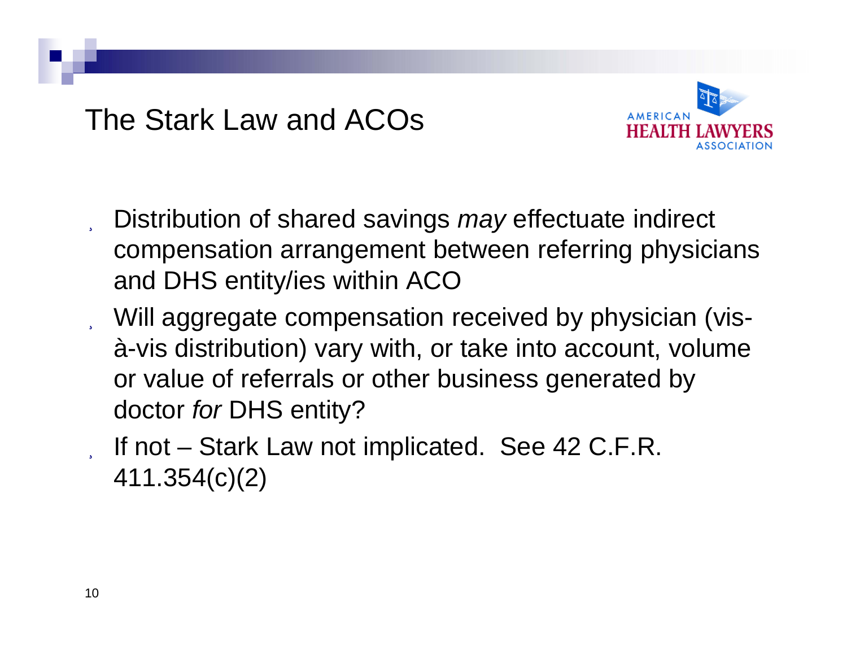

- Distribution of shared savings *may* effectuate indirect compensation arrangement between referring physicians and DHS entity/ies within ACO
- Will aggregate compensation received by physician (visà-vis distribution) vary with, or take into account, volume or value of referrals or other business generated by doctor *for* DHS entity?
- If not Stark Law not implicated. See 42 C.F.R. 411.354(c)(2)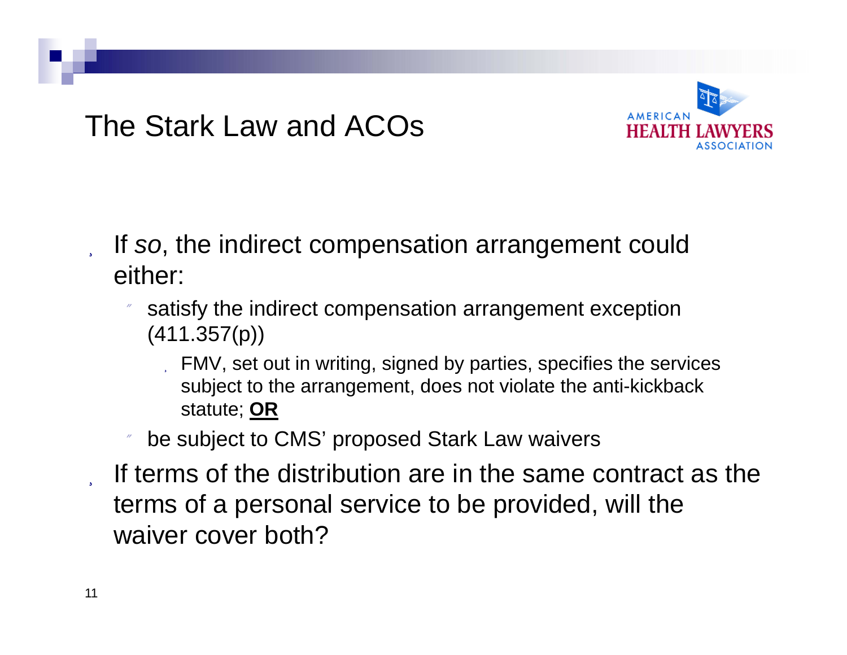

- If *so*, the indirect compensation arrangement could either:
	- satisfy the indirect compensation arrangement exception (411.357(p))
		- FMV, set out in writing, signed by parties, specifies the services subject to the arrangement, does not violate the anti-kickback statute; **OR**
	- 11 be subject to CMS' proposed Stark Law waivers
- If terms of the distribution are in the same contract as the terms of a personal service to be provided, will the waiver cover both?

- 5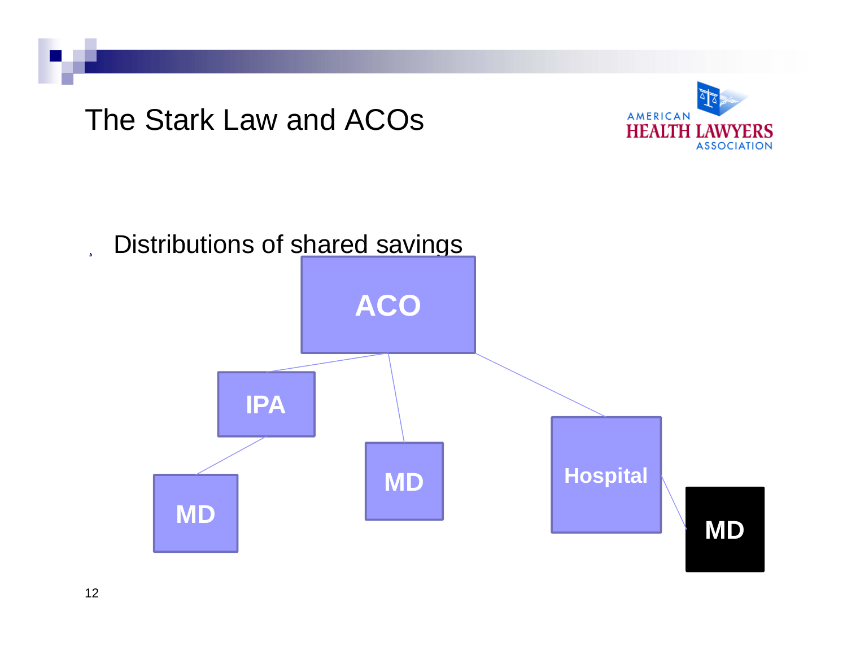

12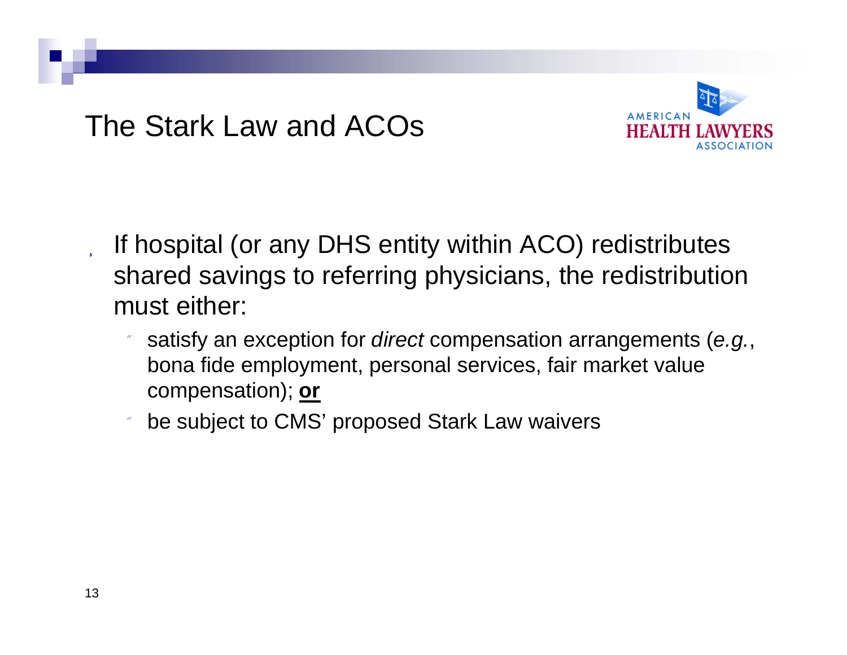

- If hospital (or any DHS entity within ACO) redistributes shared savings to referring physicians, the redistribution must either:
	- n satisfy an exception for *direct* compensation arrangements (*e.g.*, bona fide employment, personal services, fair market value compensation); **or**
	- be subject to CMS' proposed Stark Law waivers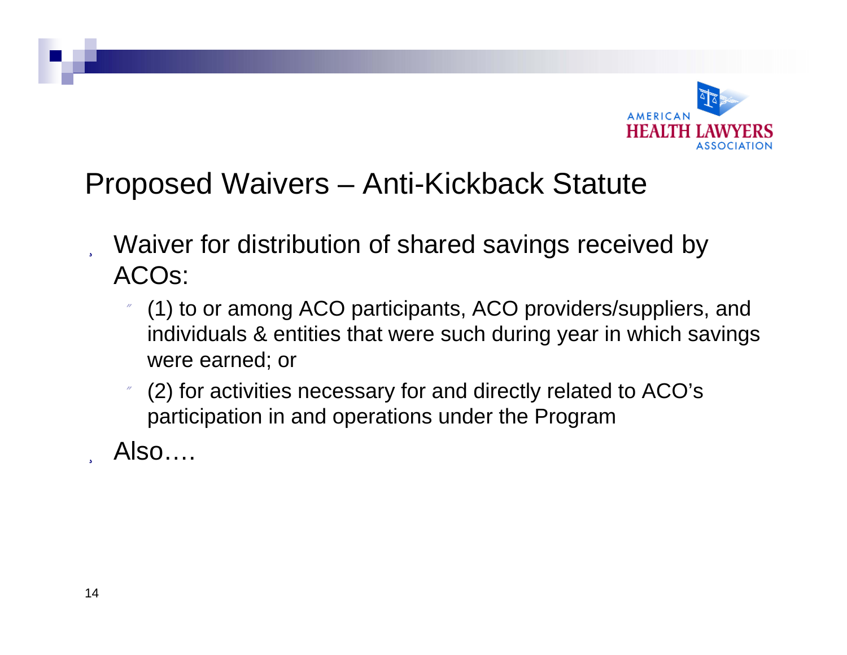

## Proposed Waivers – Anti-Kickback Statute

- Waiver for distribution of shared savings received by ACOs:
	- (1) to or among ACO participants, ACO providers/suppliers, and individuals & entities that were such during year in which savings were earned; or
	- n (2) for activities necessary for and directly related to ACO's participation in and operations under the Program
- Also….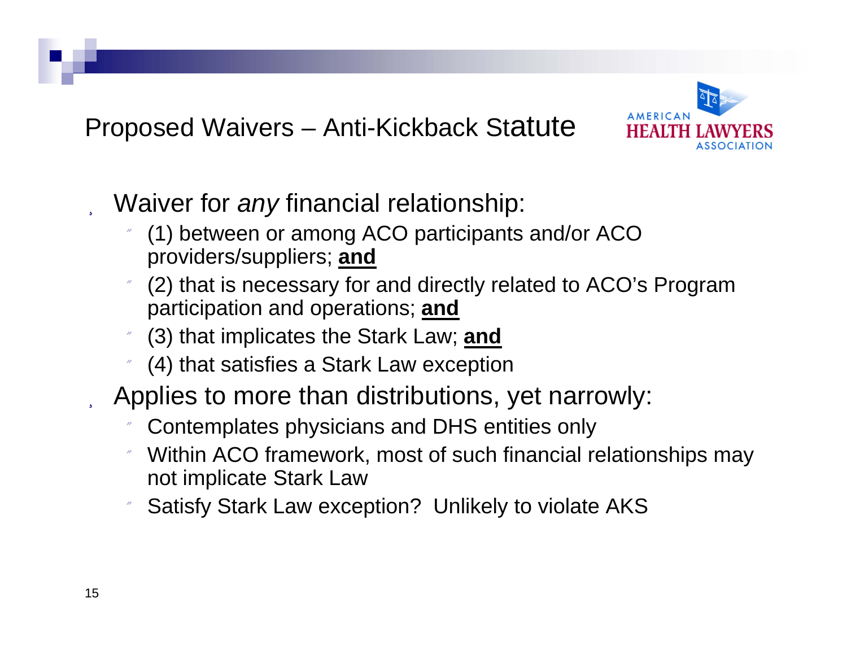Proposed Waivers – Anti-Kickback Statute



- Waiver for *any* financial relationship:
	- (1) between or among ACO participants and/or ACO providers/suppliers; **and**
	- (2) that is necessary for and directly related to ACO's Program participation and operations; **and**
	- (3) that implicates the Stark Law; **and**
	- (4) that satisfies a Stark Law exception
- Applies to more than distributions, yet narrowly:
	- 11 Contemplates physicians and DHS entities only
	- n Within ACO framework, most of such financial relationships may not implicate Stark Law
	- n Satisfy Stark Law exception? Unlikely to violate AKS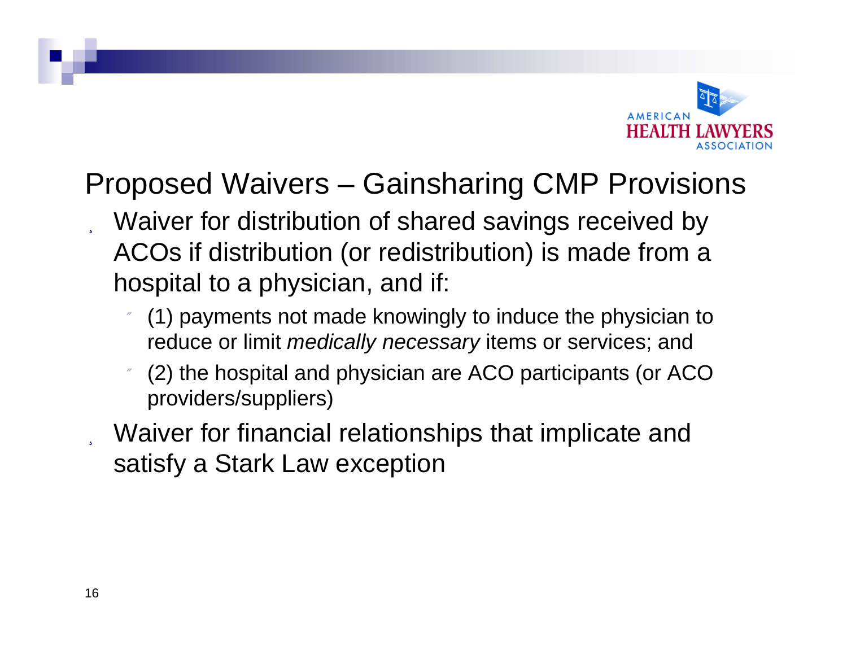

# Proposed Waivers – Gainsharing CMP Provisions

- Waiver for distribution of shared savings received by ACOs if distribution (or redistribution) is made from a hospital to a physician, and if:
	- (1) payments not made knowingly to induce the physician to reduce or limit *medically necessary* items or services; and
	- (2) the hospital and physician are ACO participants (or ACO providers/suppliers)
	- Waiver for financial relationships that implicate and satisfy a Stark Law exception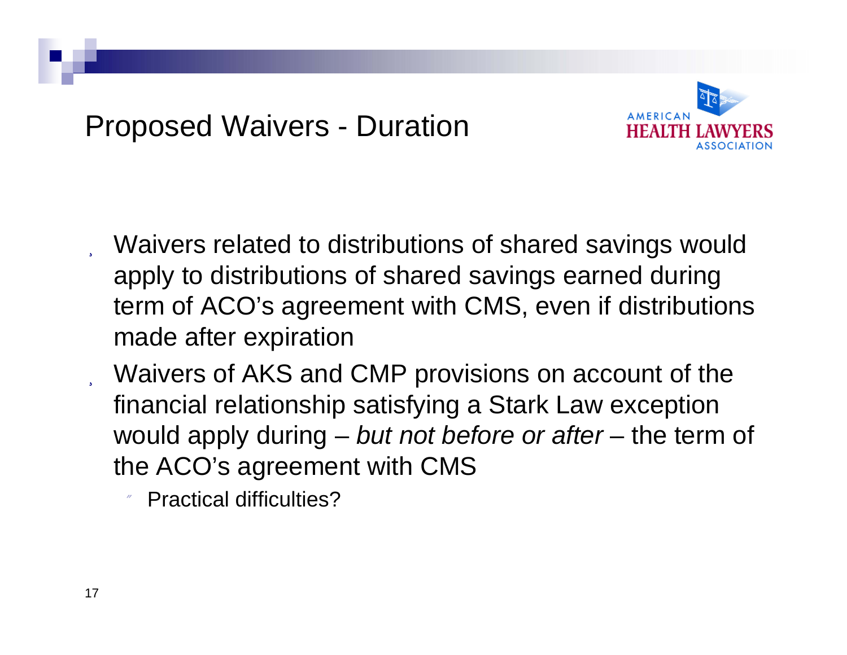## Proposed Waivers - Duration



- Waivers related to distributions of shared savings would apply to distributions of shared savings earned during term of ACO's agreement with CMS, even if distributions made after expiration
- Waivers of AKS and CMP provisions on account of the financial relationship satisfying a Stark Law exception would apply during – *but not before or after* – the term of the ACO's agreement with CMS

11 Practical difficulties?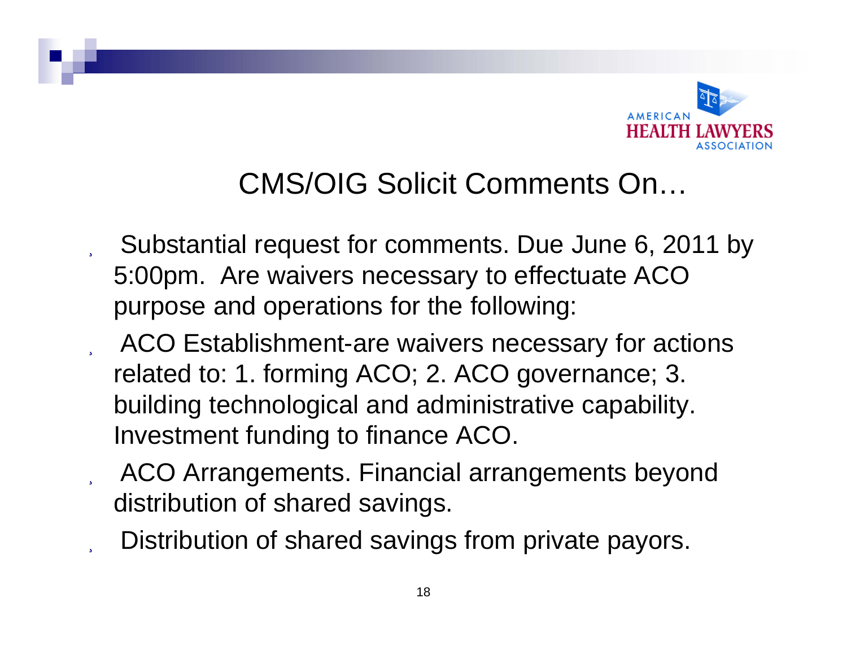

#### CMS/OIG Solicit Comments On…

- Substantial request for comments. Due June 6, 2011 by 5:00pm. Are waivers necessary to effectuate ACO purpose and operations for the following:
- ACO Establishment-are waivers necessary for actions related to: 1. forming ACO; 2. ACO governance; 3. building technological and administrative capability. Investment funding to finance ACO.
- ACO Arrangements. Financial arrangements beyond distribution of shared savings.
- Distribution of shared savings from private payors.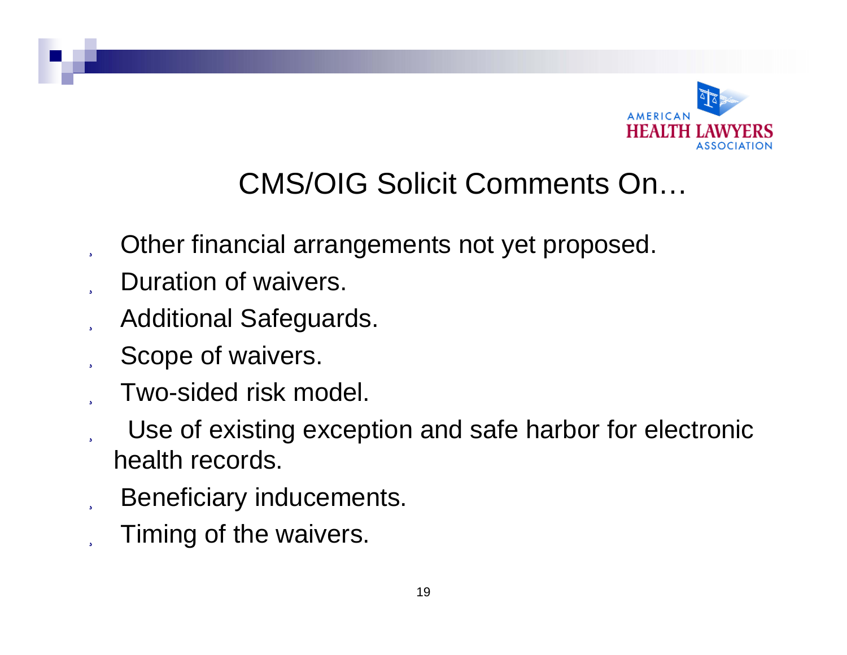

# CMS/OIG Solicit Comments On…

- Other financial arrangements not yet proposed.
- Duration of waivers.
- Additional Safeguards.
- Scope of waivers.
- Two-sided risk model.
- Use of existing exception and safe harbor for electronic health records.
- Beneficiary inducements.
- Timing of the waivers.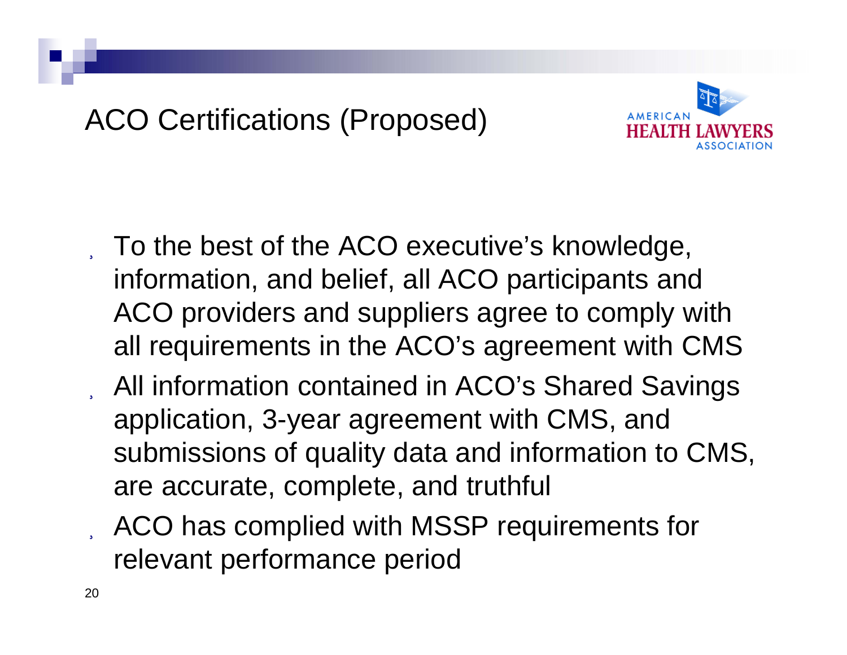# ACO Certifications (Proposed)



- To the best of the ACO executive's knowledge, information, and belief, all ACO participants and ACO providers and suppliers agree to comply with all requirements in the ACO's agreement with CMS
- All information contained in ACO's Shared Savings application, 3-year agreement with CMS, and submissions of quality data and information to CMS, are accurate, complete, and truthful
- ACO has complied with MSSP requirements for relevant performance period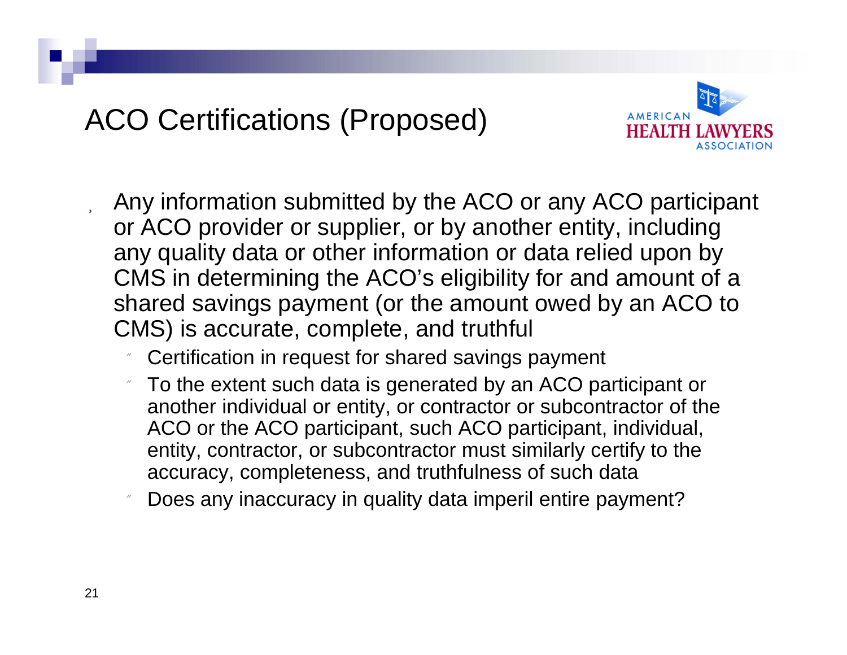# ACO Certifications (Proposed)



- Any information submitted by the ACO or any ACO participant or ACO provider or supplier, or by another entity, including any quality data or other information or data relied upon by CMS in determining the ACO's eligibility for and amount of a shared savings payment (or the amount owed by an ACO to CMS) is accurate, complete, and truthful
	- Certification in request for shared savings payment
	- To the extent such data is generated by an ACO participant or another individual or entity, or contractor or subcontractor of the ACO or the ACO participant, such ACO participant, individual, entity, contractor, or subcontractor must similarly certify to the accuracy, completeness, and truthfulness of such data
	- Does any inaccuracy in quality data imperil entire payment?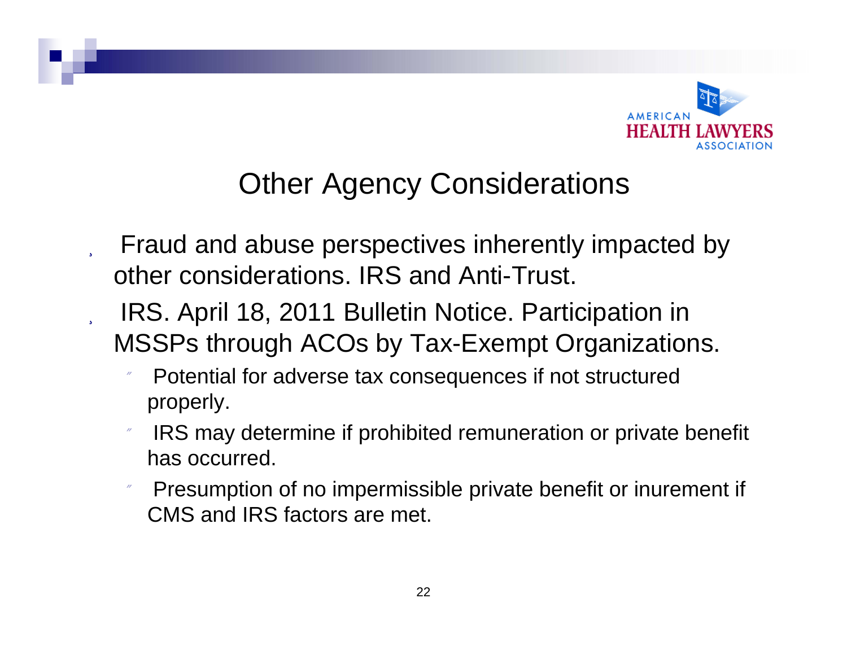

## Other Agency Considerations

- Fraud and abuse perspectives inherently impacted by other considerations. IRS and Anti-Trust.
- IRS. April 18, 2011 Bulletin Notice. Participation in MSSPs through ACOs by Tax-Exempt Organizations.
	- n Potential for adverse tax consequences if not structured properly.
	- IRS may determine if prohibited remuneration or private benefit has occurred.
	- 11 Presumption of no impermissible private benefit or inurement if CMS and IRS factors are met.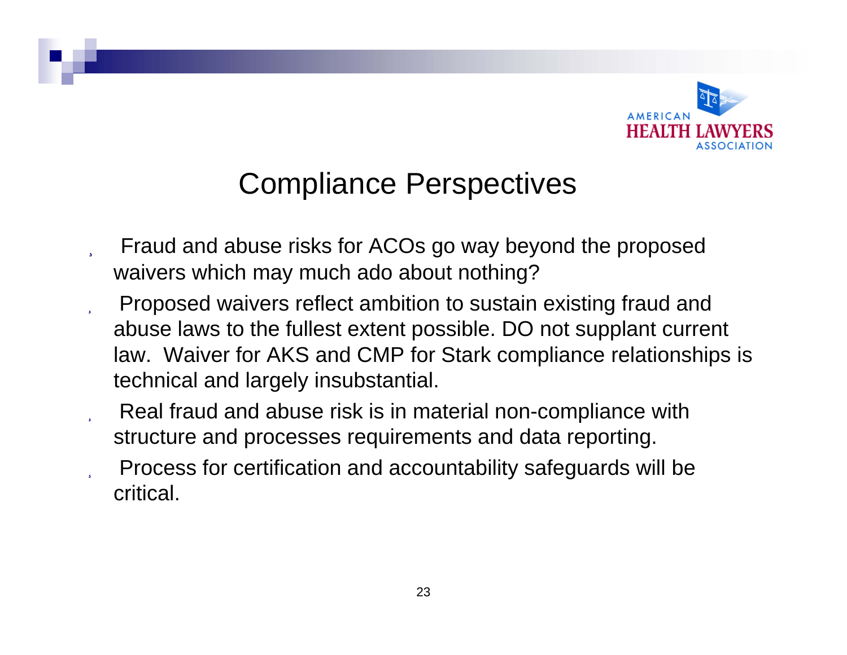

## Compliance Perspectives

- Fraud and abuse risks for ACOs go way beyond the proposed waivers which may much ado about nothing?
- Proposed waivers reflect ambition to sustain existing fraud and abuse laws to the fullest extent possible. DO not supplant current law. Waiver for AKS and CMP for Stark compliance relationships is technical and largely insubstantial.
- Real fraud and abuse risk is in material non-compliance with structure and processes requirements and data reporting.
- Process for certification and accountability safeguards will be critical.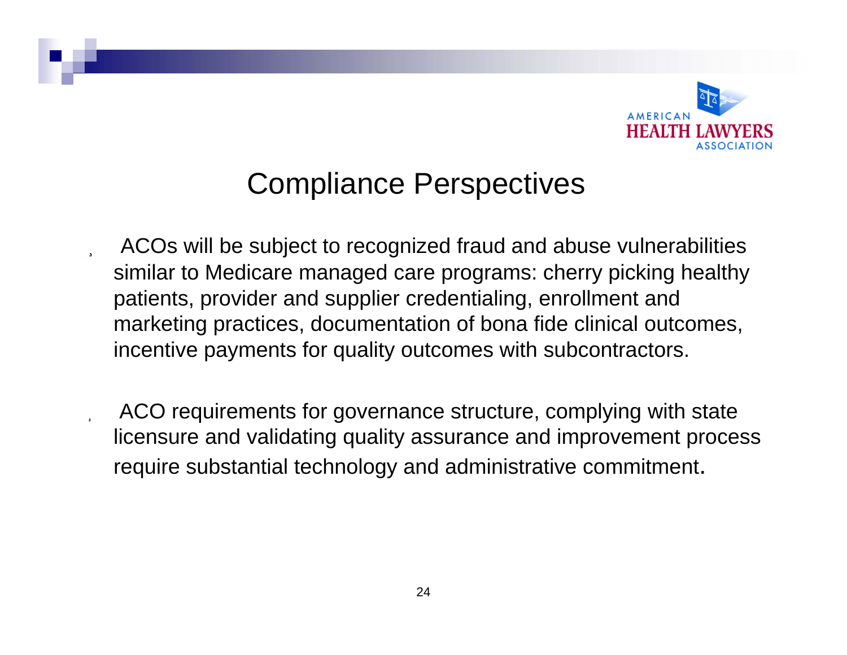

#### Compliance Perspectives

- ACOs will be subject to recognized fraud and abuse vulnerabilities similar to Medicare managed care programs: cherry picking healthy patients, provider and supplier credentialing, enrollment and marketing practices, documentation of bona fide clinical outcomes, incentive payments for quality outcomes with subcontractors.
- ACO requirements for governance structure, complying with state licensure and validating quality assurance and improvement process require substantial technology and administrative commitment.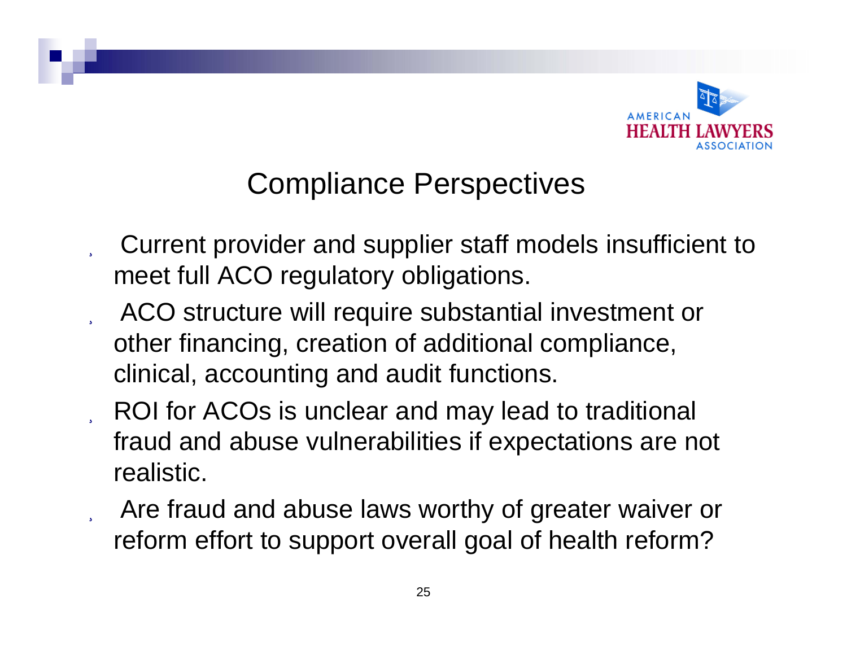

## Compliance Perspectives

- Current provider and supplier staff models insufficient to meet full ACO regulatory obligations.
- ACO structure will require substantial investment or other financing, creation of additional compliance, clinical, accounting and audit functions.
- ROI for ACOs is unclear and may lead to traditional fraud and abuse vulnerabilities if expectations are not realistic.
- Are fraud and abuse laws worthy of greater waiver or reform effort to support overall goal of health reform?